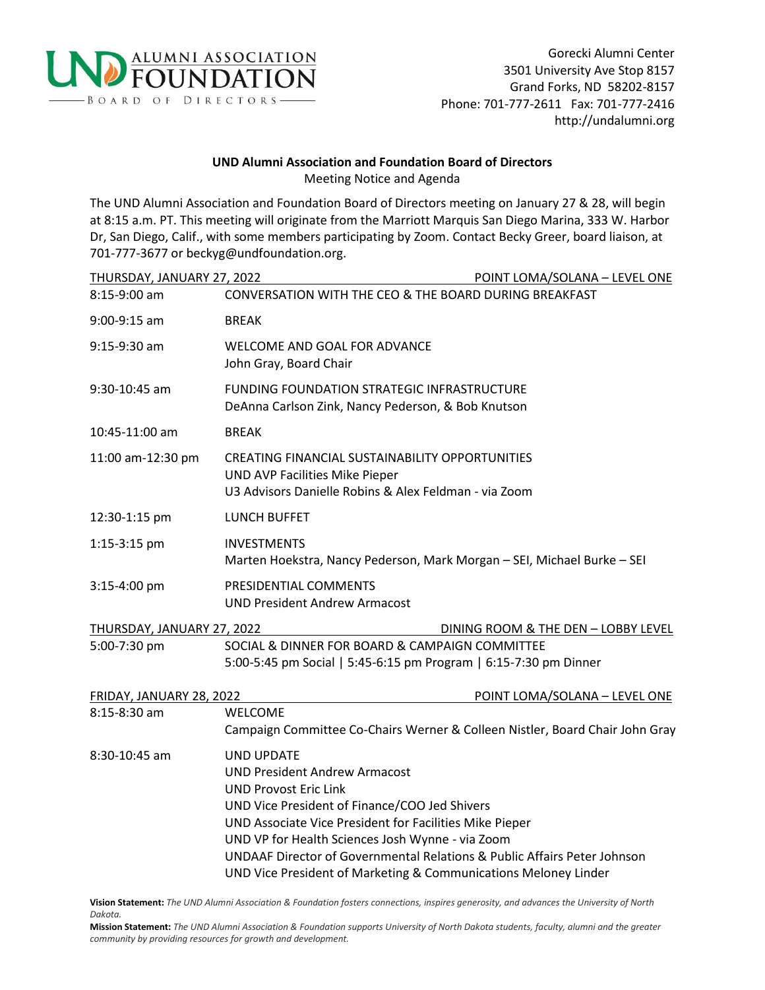

## **UND Alumni Association and Foundation Board of Directors** Meeting Notice and Agenda

The UND Alumni Association and Foundation Board of Directors meeting on January 27 & 28, will begin at 8:15 a.m. PT. This meeting will originate from the Marriott Marquis San Diego Marina, 333 W. Harbor Dr, San Diego, Calif., with some members participating by Zoom. Contact Becky Greer, board liaison, at 701-777-3677 or beckyg@undfoundation.org.

| THURSDAY, JANUARY 27, 2022 | POINT LOMA/SOLANA - LEVEL ONE                                                                                                                                                                                                                                                                                                                                                                            |  |  |
|----------------------------|----------------------------------------------------------------------------------------------------------------------------------------------------------------------------------------------------------------------------------------------------------------------------------------------------------------------------------------------------------------------------------------------------------|--|--|
| 8:15-9:00 am               | CONVERSATION WITH THE CEO & THE BOARD DURING BREAKFAST                                                                                                                                                                                                                                                                                                                                                   |  |  |
| 9:00-9:15 am               | <b>BREAK</b>                                                                                                                                                                                                                                                                                                                                                                                             |  |  |
| $9:15-9:30$ am             | WELCOME AND GOAL FOR ADVANCE<br>John Gray, Board Chair                                                                                                                                                                                                                                                                                                                                                   |  |  |
| 9:30-10:45 am              | <b>FUNDING FOUNDATION STRATEGIC INFRASTRUCTURE</b><br>DeAnna Carlson Zink, Nancy Pederson, & Bob Knutson                                                                                                                                                                                                                                                                                                 |  |  |
| 10:45-11:00 am             | <b>BREAK</b>                                                                                                                                                                                                                                                                                                                                                                                             |  |  |
| 11:00 am-12:30 pm          | CREATING FINANCIAL SUSTAINABILITY OPPORTUNITIES<br>UND AVP Facilities Mike Pieper<br>U3 Advisors Danielle Robins & Alex Feldman - via Zoom                                                                                                                                                                                                                                                               |  |  |
| 12:30-1:15 pm              | <b>LUNCH BUFFET</b>                                                                                                                                                                                                                                                                                                                                                                                      |  |  |
| 1:15-3:15 pm               | <b>INVESTMENTS</b><br>Marten Hoekstra, Nancy Pederson, Mark Morgan - SEI, Michael Burke - SEI                                                                                                                                                                                                                                                                                                            |  |  |
| 3:15-4:00 pm               | PRESIDENTIAL COMMENTS<br><b>UND President Andrew Armacost</b>                                                                                                                                                                                                                                                                                                                                            |  |  |
| THURSDAY, JANUARY 27, 2022 | DINING ROOM & THE DEN - LOBBY LEVEL                                                                                                                                                                                                                                                                                                                                                                      |  |  |
| 5:00-7:30 pm               | SOCIAL & DINNER FOR BOARD & CAMPAIGN COMMITTEE<br>5:00-5:45 pm Social   5:45-6:15 pm Program   6:15-7:30 pm Dinner                                                                                                                                                                                                                                                                                       |  |  |
| FRIDAY, JANUARY 28, 2022   | POINT LOMA/SOLANA - LEVEL ONE                                                                                                                                                                                                                                                                                                                                                                            |  |  |
| 8:15-8:30 am               | WELCOME<br>Campaign Committee Co-Chairs Werner & Colleen Nistler, Board Chair John Gray                                                                                                                                                                                                                                                                                                                  |  |  |
| 8:30-10:45 am              | <b>UND UPDATE</b><br><b>UND President Andrew Armacost</b><br><b>UND Provost Eric Link</b><br>UND Vice President of Finance/COO Jed Shivers<br>UND Associate Vice President for Facilities Mike Pieper<br>UND VP for Health Sciences Josh Wynne - via Zoom<br>UNDAAF Director of Governmental Relations & Public Affairs Peter Johnson<br>UND Vice President of Marketing & Communications Meloney Linder |  |  |

**Vision Statement:** *The UND Alumni Association & Foundation fosters connections, inspires generosity, and advances the University of North Dakota.*

**Mission Statement:** *The UND Alumni Association & Foundation supports University of North Dakota students, faculty, alumni and the greater community by providing resources for growth and development.*